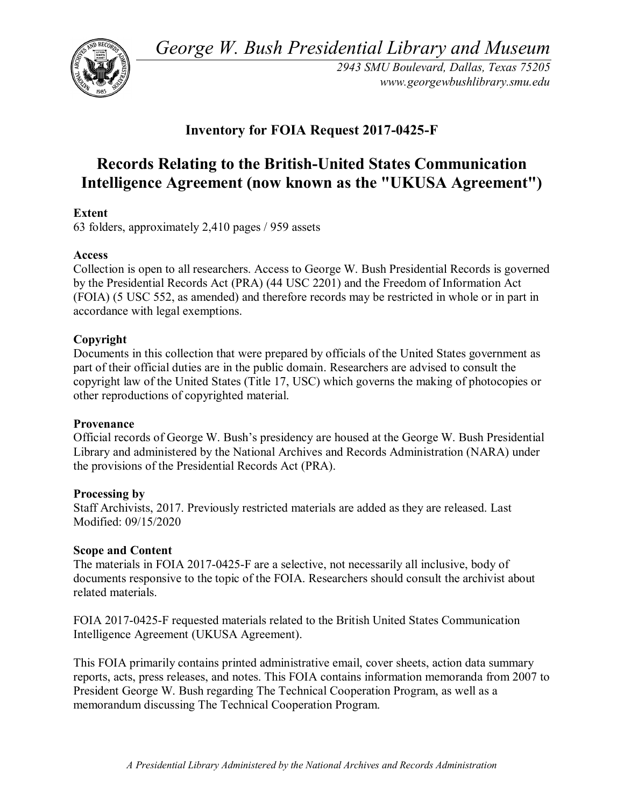*George W. Bush Presidential Library and Museum* 



*2943 SMU Boulevard, Dallas, Texas 75205 <www.georgewbushlibrary.smu.edu>*

# **Inventory for FOIA Request 2017-0425-F**

# **Records Relating to the British-United States Communication Intelligence Agreement (now known as the "UKUSA Agreement")**

# **Extent**

63 folders, approximately 2,410 pages / 959 assets

# **Access**

 Collection is open to all researchers. Access to George W. Bush Presidential Records is governed by the Presidential Records Act (PRA) (44 USC 2201) and the Freedom of Information Act (FOIA) (5 USC 552, as amended) and therefore records may be restricted in whole or in part in accordance with legal exemptions.

# **Copyright**

Documents in this collection that were prepared by officials of the United States government as part of their official duties are in the public domain. Researchers are advised to consult the copyright law of the United States (Title 17, USC) which governs the making of photocopies or other reproductions of copyrighted material.

#### **Provenance**

Official records of George W. Bush's presidency are housed at the George W. Bush Presidential Library and administered by the National Archives and Records Administration (NARA) under the provisions of the Presidential Records Act (PRA).

#### **Processing by**

Staff Archivists, 2017. Previously restricted materials are added as they are released. Last Modified: 09/15/2020

# **Scope and Content**

The materials in FOIA 2017-0425-F are a selective, not necessarily all inclusive, body of documents responsive to the topic of the FOIA. Researchers should consult the archivist about related materials.

FOIA 2017-0425-F requested materials related to the British United States Communication Intelligence Agreement (UKUSA Agreement).

 reports, acts, press releases, and notes. This FOIA contains information memoranda from 2007 to This FOIA primarily contains printed administrative email, cover sheets, action data summary President George W. Bush regarding The Technical Cooperation Program, as well as a memorandum discussing The Technical Cooperation Program.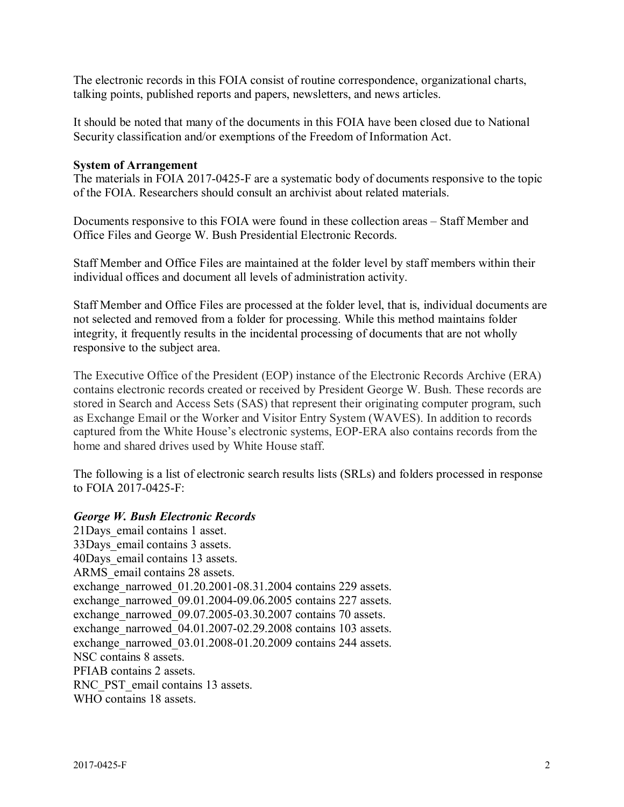The electronic records in this FOIA consist of routine correspondence, organizational charts, talking points, published reports and papers, newsletters, and news articles.

 It should be noted that many of the documents in this FOIA have been closed due to National Security classification and/or exemptions of the Freedom of Information Act.

#### **System of Arrangement**

 of the FOIA. Researchers should consult an archivist about related materials. The materials in FOIA 2017-0425-F are a systematic body of documents responsive to the topic

 Documents responsive to this FOIA were found in these collection areas – Staff Member and Office Files and George W. Bush Presidential Electronic Records.

 Staff Member and Office Files are maintained at the folder level by staff members within their individual offices and document all levels of administration activity.

individual offices and document all levels of administration activity.<br>Staff Member and Office Files are processed at the folder level, that is, individual documents are integrity, it frequently results in the incidental processing of documents that are not wholly not selected and removed from a folder for processing. While this method maintains folder responsive to the subject area.

 contains electronic records created or received by President George W. Bush. These records are The Executive Office of the President (EOP) instance of the Electronic Records Archive (ERA) stored in Search and Access Sets (SAS) that represent their originating computer program, such as Exchange Email or the Worker and Visitor Entry System (WAVES). In addition to records captured from the White House's electronic systems, EOP-ERA also contains records from the home and shared drives used by White House staff.

The following is a list of electronic search results lists (SRLs) and folders processed in response to FOIA 2017-0425-F:

#### *George W. Bush Electronic Records*

21Days\_email contains 1 asset. 33Days\_email contains 3 assets. 40Days\_email contains 13 assets. ARMS email contains 28 assets. exchange\_narrowed\_01.20.2001-08.31.2004 contains 229 assets. exchange\_narrowed\_09.01.2004-09.06.2005 contains 227 assets. exchange\_narrowed\_09.07.2005-03.30.2007 contains 70 assets. exchange narrowed 04.01.2007-02.29.2008 contains 103 assets. exchange\_narrowed\_03.01.2008-01.20.2009 contains 244 assets. NSC contains 8 assets. PFIAB contains 2 assets. RNC\_PST\_email contains 13 assets. WHO contains 18 assets.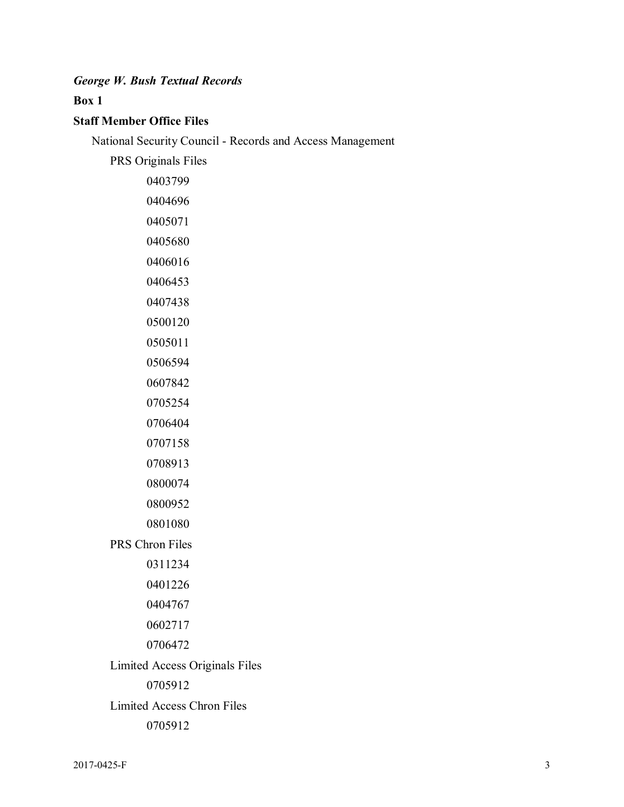# *George W. Bush Textual Records*

## **Box 1**

# **Staff Member Office Files**

National Security Council - Records and Access Management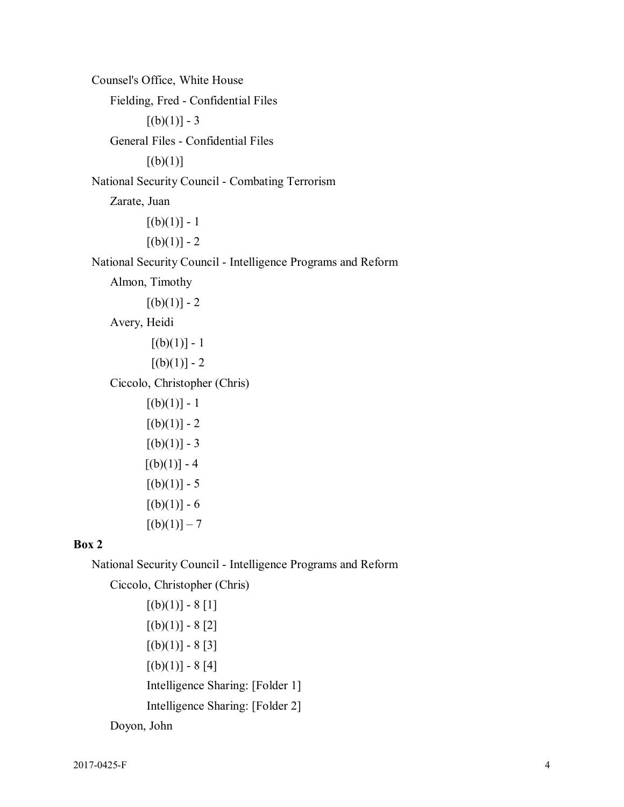Counsel's Office, White House  $[(b)(1)] - 3$  General Files - Confidential Files National Security Council - Combating Terrorism Zarate, Juan  $[(b)(1)] - 1$  $[(b)(1)] - 2$  Almon, Timothy  $[(b)(1)] - 2$ Avery, Heidi<br>[(b)(1)] - 1  $[(b)(1)] - 1$  $[(b)(1)] - 2$  Ciccolo, Christopher (Chris) [(b)(1)] - 1  $[(b)(1)] - 1$  $[(b)(1)] - 2$  $[(b)(1)] - 3$  $[(b)(1)] - 4$  $[(b)(1)] - 5$  $[(b)(1)] - 6$  $[(b)(1)] - 7$ Fielding, Fred - Confidential Files  $[(b)(1)]$ National Security Council - Intelligence Programs and Reform

## **Box 2**

National Security Council - Intelligence Programs and Reform

 Ciccolo, Christopher (Chris) [(b)(1)] - 8 [1]  $[(b)(1)] - 8[1]$  $[(b)(1)] - 8[2]$  $[(b)(1)] - 8[3]$  $[(b)(1)] - 8[4]$ Doyon, John Intelligence Sharing: [Folder 1] Intelligence Sharing: [Folder 2] Doyon, John 2017-0425-F 4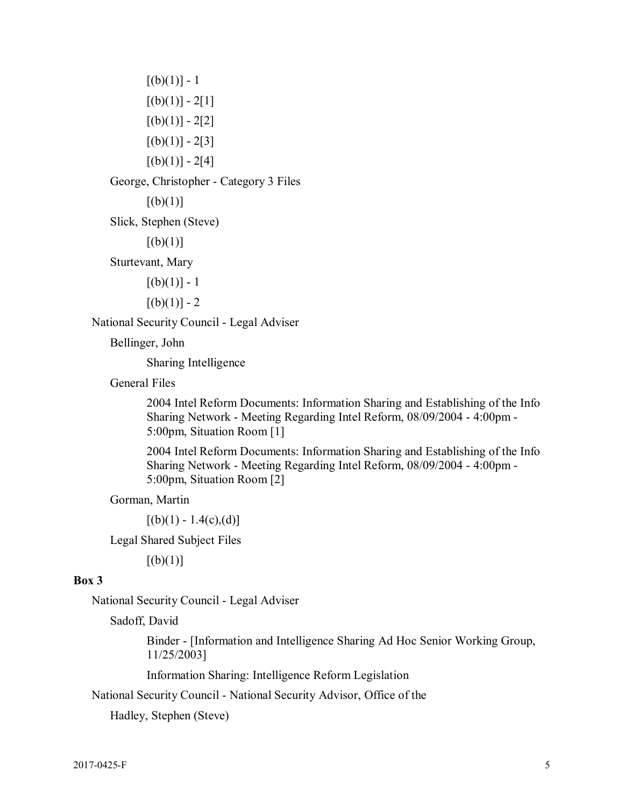$[(b)(1)] - 1$  $[(b)(1)] - 2[1]$  $[(b)(1)] - 2[2]$  $[(b)(1)] - 2[3]$  $[(b)(1)] - 2[4]$ George, Christopher - Category 3 Files  $[(b)(1)]$ Sturtevant, Mary<br>[(b)(1)] - 1  $[(b)(1)] - 1$  $[(b)(1)] - 2$ Slick, Stephen (Steve)  $[(b)(1)]$ National Security Council - Legal Adviser

Bellinger, John

Sharing Intelligence

General Files

 Sharing Network - Meeting Regarding Intel Reform, 08/09/2004 - 4:00pm - 2004 Intel Reform Documents: Information Sharing and Establishing of the Info 5:00pm, Situation Room [1]

 Sharing Network - Meeting Regarding Intel Reform, 08/09/2004 - 4:00pm - 2004 Intel Reform Documents: Information Sharing and Establishing of the Info 5:00pm, Situation Room [2]

Gorman, Martin

Gorman, Martin  $[(b)(1) - 1.4(c),(d)]$ 

Legal Shared Subject Files [(b)(1)]

#### **Box 3**

National Security Council - Legal Adviser

Sadoff, David

Binder - [Information and Intelligence Sharing Ad Hoc Senior Working Group, 11/25/2003]

Information Sharing: Intelligence Reform Legislation

National Security Council - National Security Advisor, Office of the National Security Council - National Security Advisor, Office of the<br>Hadley, Stephen (Steve)<br>2017-0425-F 5

Hadley, Stephen (Steve)